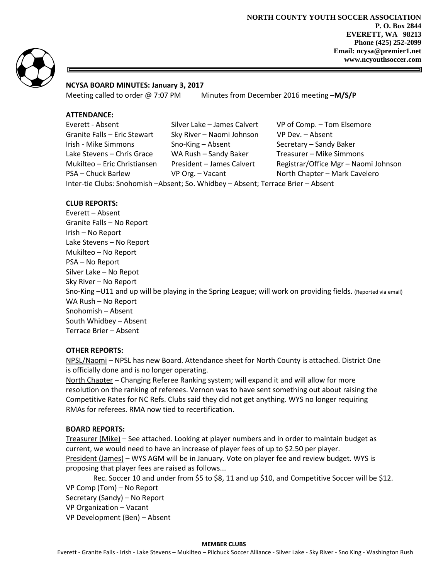

## **NCYSA BOARD MINUTES: January 3, 2017**

Meeting called to order @ 7:07 PM Minutes from December 2016 meeting –**M/S/P** 

# **ATTENDANCE:**

| Everett - Absent                                                                 | Silver Lake - James Calvert | VP of Comp. - Tom Elsemore           |
|----------------------------------------------------------------------------------|-----------------------------|--------------------------------------|
| Granite Falls - Eric Stewart                                                     | Sky River - Naomi Johnson   | VP Dev. - Absent                     |
| Irish - Mike Simmons                                                             | Sno-King $-$ Absent         | Secretary - Sandy Baker              |
| Lake Stevens - Chris Grace                                                       | WA Rush - Sandy Baker       | Treasurer - Mike Simmons             |
| Mukilteo – Eric Christiansen                                                     | President - James Calvert   | Registrar/Office Mgr - Naomi Johnson |
| PSA - Chuck Barlew                                                               | VP Org. - Vacant            | North Chapter - Mark Cavelero        |
| Inter-tie Clubs: Snohomish -Absent; So. Whidbey - Absent; Terrace Brier - Absent |                             |                                      |

# **CLUB REPORTS:**

Everett – Absent Granite Falls – No Report Irish – No Report Lake Stevens – No Report Mukilteo – No Report PSA – No Report Silver Lake – No Repot Sky River – No Report Sno-King –U11 and up will be playing in the Spring League; will work on providing fields. (Reported via email) WA Rush – No Report Snohomish – Absent South Whidbey – Absent Terrace Brier – Absent

#### **OTHER REPORTS:**

NPSL/Naomi – NPSL has new Board. Attendance sheet for North County is attached. District One is officially done and is no longer operating.

North Chapter – Changing Referee Ranking system; will expand it and will allow for more resolution on the ranking of referees. Vernon was to have sent something out about raising the Competitive Rates for NC Refs. Clubs said they did not get anything. WYS no longer requiring RMAs for referees. RMA now tied to recertification.

#### **BOARD REPORTS:**

Treasurer (Mike) – See attached. Looking at player numbers and in order to maintain budget as current, we would need to have an increase of player fees of up to \$2.50 per player. President (James) – WYS AGM will be in January. Vote on player fee and review budget. WYS is proposing that player fees are raised as follows...

 Rec. Soccer 10 and under from \$5 to \$8, 11 and up \$10, and Competitive Soccer will be \$12. VP Comp (Tom) – No Report

Secretary (Sandy) – No Report

VP Organization – Vacant

VP Development (Ben) – Absent